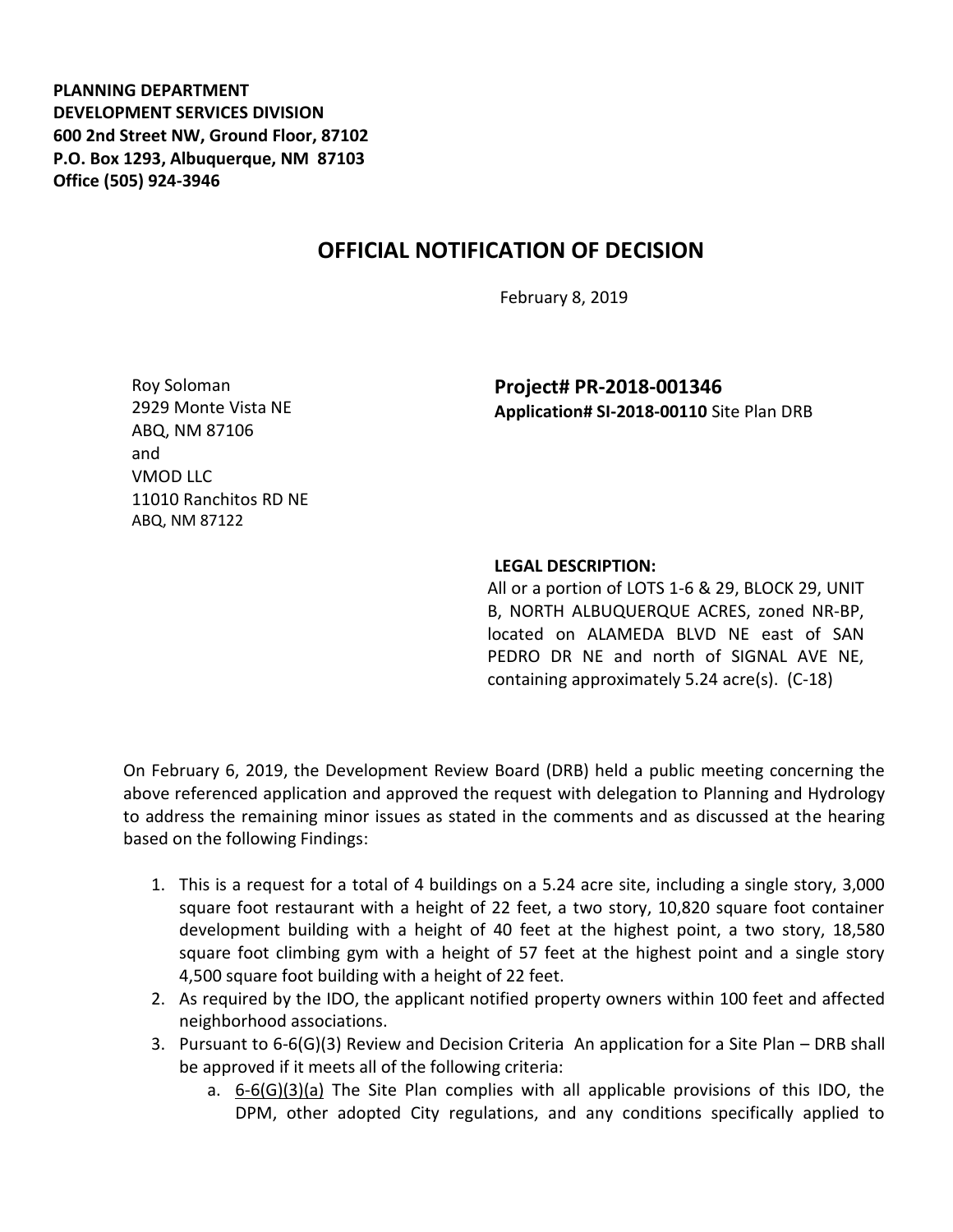**PLANNING DEPARTMENT DEVELOPMENT SERVICES DIVISION 600 2nd Street NW, Ground Floor, 87102 P.O. Box 1293, Albuquerque, NM 87103 Office (505) 924-3946** 

## **OFFICIAL NOTIFICATION OF DECISION**

February 8, 2019

Roy Soloman 2929 Monte Vista NE ABQ, NM 87106 and VMOD LLC 11010 Ranchitos RD NE ABQ, NM 87122

**Project# PR-2018-001346 Application# SI-2018-00110** Site Plan DRB

## **LEGAL DESCRIPTION:**

All or a portion of LOTS 1-6 & 29, BLOCK 29, UNIT B, NORTH ALBUQUERQUE ACRES, zoned NR-BP, located on ALAMEDA BLVD NE east of SAN PEDRO DR NE and north of SIGNAL AVE NE, containing approximately 5.24 acre(s). (C-18)

On February 6, 2019, the Development Review Board (DRB) held a public meeting concerning the above referenced application and approved the request with delegation to Planning and Hydrology to address the remaining minor issues as stated in the comments and as discussed at the hearing based on the following Findings:

- 1. This is a request for a total of 4 buildings on a 5.24 acre site, including a single story, 3,000 square foot restaurant with a height of 22 feet, a two story, 10,820 square foot container development building with a height of 40 feet at the highest point, a two story, 18,580 square foot climbing gym with a height of 57 feet at the highest point and a single story 4,500 square foot building with a height of 22 feet.
- 2. As required by the IDO, the applicant notified property owners within 100 feet and affected neighborhood associations.
- 3. Pursuant to 6-6(G)(3) Review and Decision Criteria An application for a Site Plan DRB shall be approved if it meets all of the following criteria:
	- a. 6-6(G)(3)(a) The Site Plan complies with all applicable provisions of this IDO, the DPM, other adopted City regulations, and any conditions specifically applied to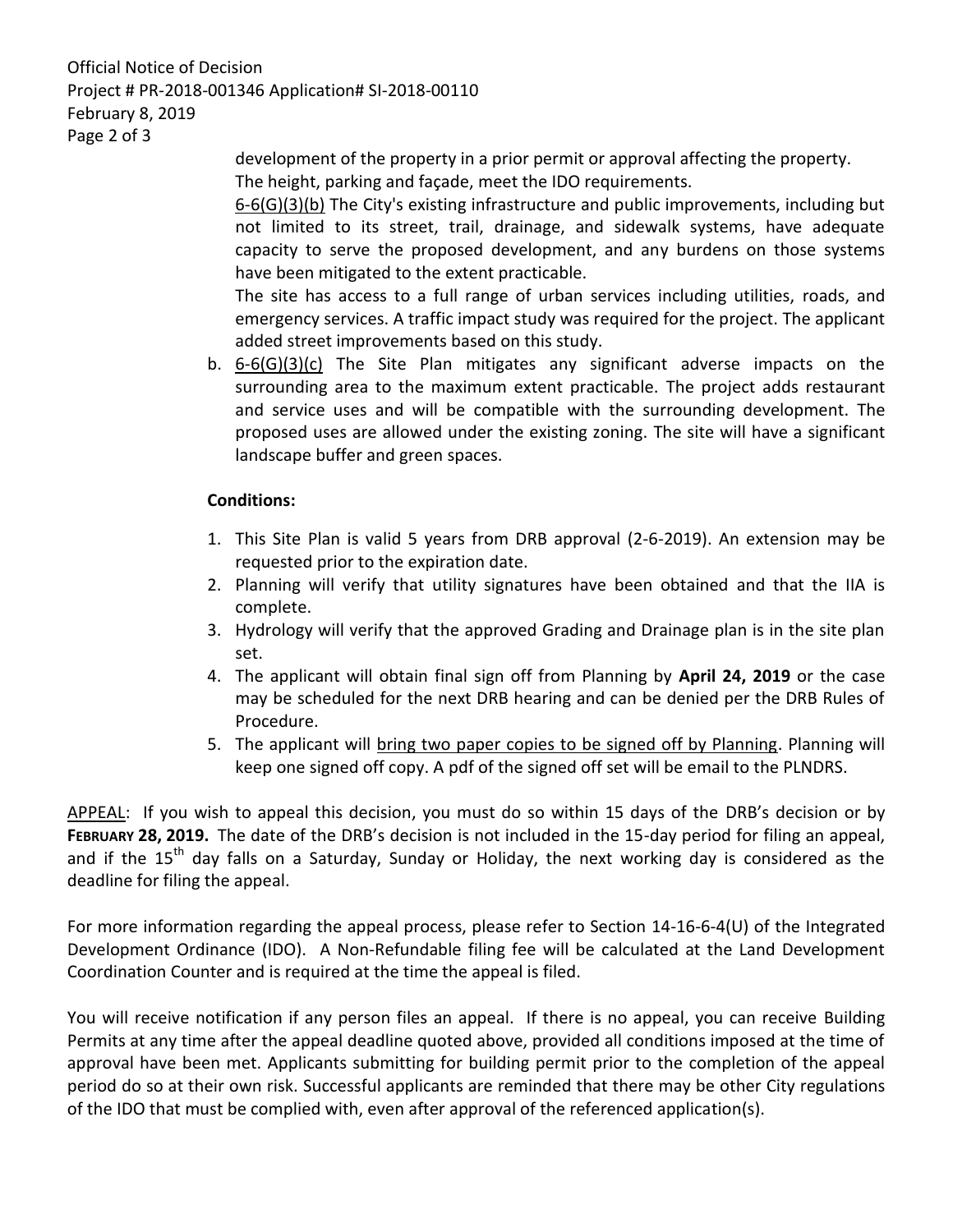Official Notice of Decision Project # PR-2018-001346 Application# SI-2018-00110 February 8, 2019 Page 2 of 3

> development of the property in a prior permit or approval affecting the property. The height, parking and façade, meet the IDO requirements.

6-6(G)(3)(b) The City's existing infrastructure and public improvements, including but not limited to its street, trail, drainage, and sidewalk systems, have adequate capacity to serve the proposed development, and any burdens on those systems have been mitigated to the extent practicable.

The site has access to a full range of urban services including utilities, roads, and emergency services. A traffic impact study was required for the project. The applicant added street improvements based on this study.

b. 6-6(G)(3)(c) The Site Plan mitigates any significant adverse impacts on the surrounding area to the maximum extent practicable. The project adds restaurant and service uses and will be compatible with the surrounding development. The proposed uses are allowed under the existing zoning. The site will have a significant landscape buffer and green spaces.

## **Conditions:**

- 1. This Site Plan is valid 5 years from DRB approval (2-6-2019). An extension may be requested prior to the expiration date.
- 2. Planning will verify that utility signatures have been obtained and that the IIA is complete.
- 3. Hydrology will verify that the approved Grading and Drainage plan is in the site plan set.
- 4. The applicant will obtain final sign off from Planning by **April 24, 2019** or the case may be scheduled for the next DRB hearing and can be denied per the DRB Rules of Procedure.
- 5. The applicant will bring two paper copies to be signed off by Planning. Planning will keep one signed off copy. A pdf of the signed off set will be email to the PLNDRS.

APPEAL: If you wish to appeal this decision, you must do so within 15 days of the DRB's decision or by **FEBRUARY 28, 2019.** The date of the DRB's decision is not included in the 15-day period for filing an appeal, and if the  $15<sup>th</sup>$  day falls on a Saturday, Sunday or Holiday, the next working day is considered as the deadline for filing the appeal.

For more information regarding the appeal process, please refer to Section 14-16-6-4(U) of the Integrated Development Ordinance (IDO). A Non-Refundable filing fee will be calculated at the Land Development Coordination Counter and is required at the time the appeal is filed.

You will receive notification if any person files an appeal. If there is no appeal, you can receive Building Permits at any time after the appeal deadline quoted above, provided all conditions imposed at the time of approval have been met. Applicants submitting for building permit prior to the completion of the appeal period do so at their own risk. Successful applicants are reminded that there may be other City regulations of the IDO that must be complied with, even after approval of the referenced application(s).